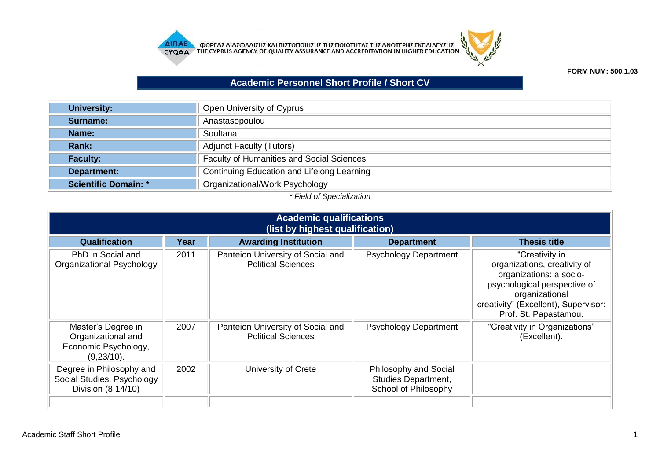



**FORM NUM: 500.1.03**

## **Academic Personnel Short Profile / Short CV**

| <b>University:</b>          | Open University of Cyprus                        |  |  |  |
|-----------------------------|--------------------------------------------------|--|--|--|
| Surname:                    | Anastasopoulou                                   |  |  |  |
| Name:                       | Soultana                                         |  |  |  |
| <b>Rank:</b>                | <b>Adjunct Faculty (Tutors)</b>                  |  |  |  |
| <b>Faculty:</b>             | <b>Faculty of Humanities and Social Sciences</b> |  |  |  |
| Department:                 | Continuing Education and Lifelong Learning       |  |  |  |
| <b>Scientific Domain: *</b> | Organizational/Work Psychology                   |  |  |  |

## *\* Field of Specialization*

| <b>Academic qualifications</b><br>(list by highest qualification)              |      |                                                                |                                                                      |                                                                                                                                                                                              |  |
|--------------------------------------------------------------------------------|------|----------------------------------------------------------------|----------------------------------------------------------------------|----------------------------------------------------------------------------------------------------------------------------------------------------------------------------------------------|--|
| Qualification                                                                  | Year | <b>Awarding Institution</b>                                    | <b>Department</b>                                                    | <b>Thesis title</b>                                                                                                                                                                          |  |
| PhD in Social and<br>Organizational Psychology                                 | 2011 | Panteion University of Social and<br><b>Political Sciences</b> | <b>Psychology Department</b>                                         | "Creativity in<br>organizations, creativity of<br>organizations: a socio-<br>psychological perspective of<br>organizational<br>creativity" (Excellent), Supervisor:<br>Prof. St. Papastamou. |  |
| Master's Degree in<br>Organizational and<br>Economic Psychology,<br>(9,23/10). | 2007 | Panteion University of Social and<br><b>Political Sciences</b> | <b>Psychology Department</b>                                         | "Creativity in Organizations"<br>(Excellent).                                                                                                                                                |  |
| Degree in Philosophy and<br>Social Studies, Psychology<br>Division (8,14/10)   | 2002 | University of Crete                                            | Philosophy and Social<br>Studies Department,<br>School of Philosophy |                                                                                                                                                                                              |  |
|                                                                                |      |                                                                |                                                                      |                                                                                                                                                                                              |  |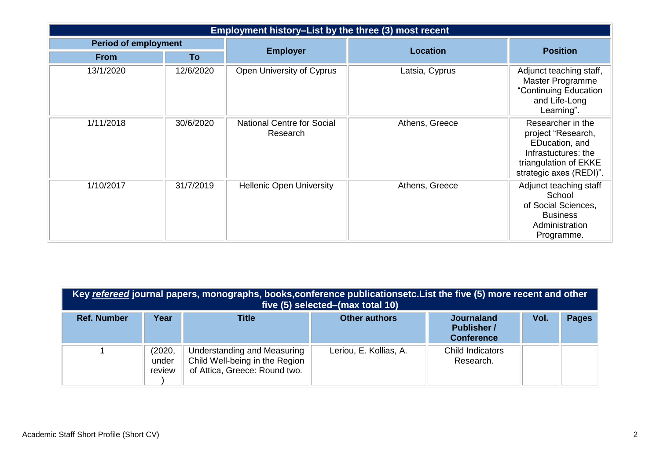| Employment history-List by the three (3) most recent |           |                                               |                 |                                                                                                                                      |  |
|------------------------------------------------------|-----------|-----------------------------------------------|-----------------|--------------------------------------------------------------------------------------------------------------------------------------|--|
| <b>Period of employment</b>                          |           | <b>Employer</b>                               | <b>Location</b> | <b>Position</b>                                                                                                                      |  |
| <b>From</b>                                          | To        |                                               |                 |                                                                                                                                      |  |
| 13/1/2020                                            | 12/6/2020 | Open University of Cyprus                     | Latsia, Cyprus  | Adjunct teaching staff,<br>Master Programme<br>"Continuing Education<br>and Life-Long<br>Learning".                                  |  |
| 1/11/2018                                            | 30/6/2020 | <b>National Centre for Social</b><br>Research | Athens, Greece  | Researcher in the<br>project "Research,<br>EDucation, and<br>Infrastuctures: the<br>triangulation of EKKE<br>strategic axes (REDI)". |  |
| 1/10/2017                                            | 31/7/2019 | <b>Hellenic Open University</b>               | Athens, Greece  | Adjunct teaching staff<br>School<br>of Social Sciences,<br><b>Business</b><br>Administration<br>Programme.                           |  |

| Key refereed journal papers, monographs, books, conference publicationsetc. List the five (5) more recent and other<br>five (5) selected–(max total 10) |                           |                                                                                                |                        |                                                              |      |              |
|---------------------------------------------------------------------------------------------------------------------------------------------------------|---------------------------|------------------------------------------------------------------------------------------------|------------------------|--------------------------------------------------------------|------|--------------|
| <b>Ref. Number</b>                                                                                                                                      | Year                      | <b>Title</b>                                                                                   | <b>Other authors</b>   | <b>Journaland</b><br><b>Publisher /</b><br><b>Conference</b> | Vol. | <b>Pages</b> |
|                                                                                                                                                         | (2020,<br>under<br>review | Understanding and Measuring<br>Child Well-being in the Region<br>of Attica, Greece: Round two. | Leriou, E. Kollias, A. | Child Indicators<br>Research.                                |      |              |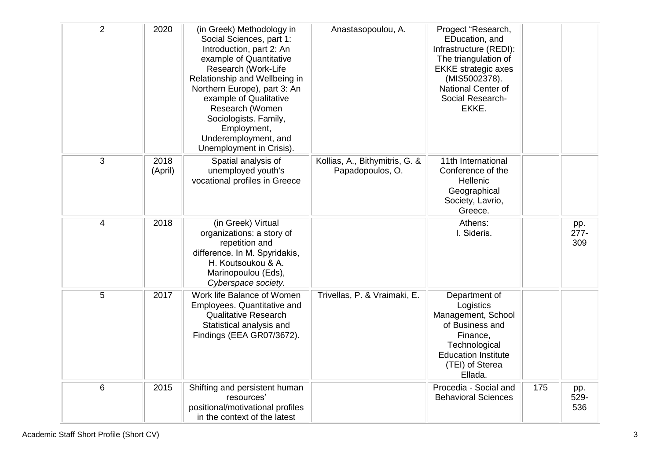| $\overline{2}$ | 2020            | (in Greek) Methodology in<br>Social Sciences, part 1:<br>Introduction, part 2: An<br>example of Quantitative<br>Research (Work-Life<br>Relationship and Wellbeing in<br>Northern Europe), part 3: An<br>example of Qualitative<br>Research (Women<br>Sociologists. Family,<br>Employment,<br>Underemployment, and<br>Unemployment in Crisis). | Anastasopoulou, A.                                 | Progect "Research,<br>EDucation, and<br>Infrastructure (REDI):<br>The triangulation of<br><b>EKKE</b> strategic axes<br>(MIS5002378).<br><b>National Center of</b><br>Social Research-<br>EKKE. |     |                       |
|----------------|-----------------|-----------------------------------------------------------------------------------------------------------------------------------------------------------------------------------------------------------------------------------------------------------------------------------------------------------------------------------------------|----------------------------------------------------|-------------------------------------------------------------------------------------------------------------------------------------------------------------------------------------------------|-----|-----------------------|
| 3              | 2018<br>(April) | Spatial analysis of<br>unemployed youth's<br>vocational profiles in Greece                                                                                                                                                                                                                                                                    | Kollias, A., Bithymitris, G. &<br>Papadopoulos, O. | 11th International<br>Conference of the<br>Hellenic<br>Geographical<br>Society, Lavrio,<br>Greece.                                                                                              |     |                       |
| $\overline{4}$ | 2018            | (in Greek) Virtual<br>organizations: a story of<br>repetition and<br>difference. In M. Spyridakis,<br>H. Koutsoukou & A.<br>Marinopoulou (Eds),<br>Cyberspace society.                                                                                                                                                                        |                                                    | Athens:<br>I. Sideris.                                                                                                                                                                          |     | pp.<br>$277 -$<br>309 |
| 5              | 2017            | Work life Balance of Women<br>Employees. Quantitative and<br><b>Qualitative Research</b><br>Statistical analysis and<br>Findings (EEA GR07/3672).                                                                                                                                                                                             | Trivellas, P. & Vraimaki, E.                       | Department of<br>Logistics<br>Management, School<br>of Business and<br>Finance,<br>Technological<br><b>Education Institute</b><br>(TEI) of Sterea<br>Ellada.                                    |     |                       |
| 6              | 2015            | Shifting and persistent human<br>resources'<br>positional/motivational profiles<br>in the context of the latest                                                                                                                                                                                                                               |                                                    | Procedia - Social and<br><b>Behavioral Sciences</b>                                                                                                                                             | 175 | pp.<br>529-<br>536    |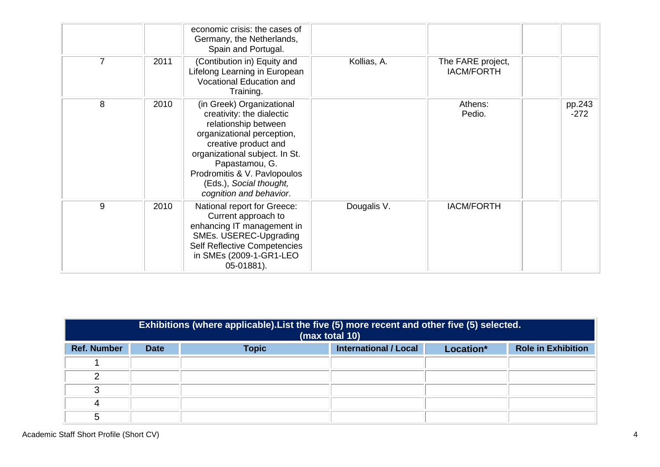|   |      | economic crisis: the cases of<br>Germany, the Netherlands,<br>Spain and Portugal.                                                                                                                                                                                              |             |                                        |                  |
|---|------|--------------------------------------------------------------------------------------------------------------------------------------------------------------------------------------------------------------------------------------------------------------------------------|-------------|----------------------------------------|------------------|
| 7 | 2011 | (Contibution in) Equity and<br>Lifelong Learning in European<br>Vocational Education and<br>Training.                                                                                                                                                                          | Kollias, A. | The FARE project,<br><b>IACM/FORTH</b> |                  |
| 8 | 2010 | (in Greek) Organizational<br>creativity: the dialectic<br>relationship between<br>organizational perception,<br>creative product and<br>organizational subject. In St.<br>Papastamou, G.<br>Prodromitis & V. Pavlopoulos<br>(Eds.), Social thought,<br>cognition and behavior. |             | Athens:<br>Pedio.                      | pp.243<br>$-272$ |
| 9 | 2010 | National report for Greece:<br>Current approach to<br>enhancing IT management in<br>SMEs. USEREC-Upgrading<br><b>Self Reflective Competencies</b><br>in SMEs (2009-1-GR1-LEO<br>05-01881).                                                                                     | Dougalis V. | <b>IACM/FORTH</b>                      |                  |

|                    | Exhibitions (where applicable). List the five (5) more recent and other five (5) selected.<br>(max total 10) |              |                              |           |                           |
|--------------------|--------------------------------------------------------------------------------------------------------------|--------------|------------------------------|-----------|---------------------------|
| <b>Ref. Number</b> | <b>Date</b>                                                                                                  | <b>Topic</b> | <b>International / Local</b> | Location* | <b>Role in Exhibition</b> |
|                    |                                                                                                              |              |                              |           |                           |
| ◠                  |                                                                                                              |              |                              |           |                           |
| ◠                  |                                                                                                              |              |                              |           |                           |
| 4                  |                                                                                                              |              |                              |           |                           |
| 5                  |                                                                                                              |              |                              |           |                           |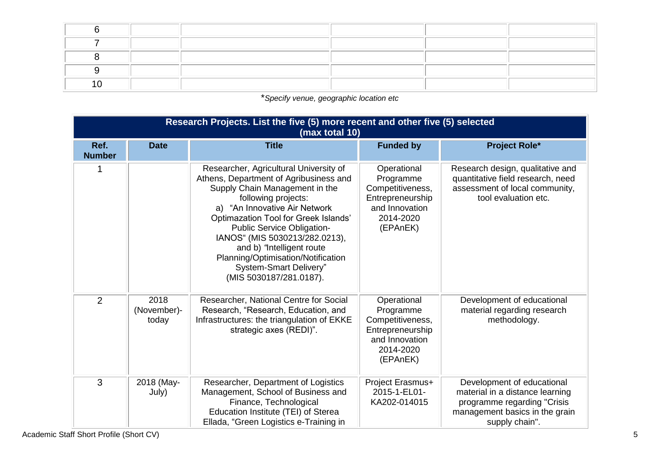\**Specify venue, geographic location etc*

|                       | Research Projects. List the five (5) more recent and other five (5) selected<br>(max total 10) |                                                                                                                                                                                                                                                                                                                                                                                                            |                                                                                                             |                                                                                                                                                  |  |  |  |
|-----------------------|------------------------------------------------------------------------------------------------|------------------------------------------------------------------------------------------------------------------------------------------------------------------------------------------------------------------------------------------------------------------------------------------------------------------------------------------------------------------------------------------------------------|-------------------------------------------------------------------------------------------------------------|--------------------------------------------------------------------------------------------------------------------------------------------------|--|--|--|
| Ref.<br><b>Number</b> | <b>Date</b>                                                                                    | <b>Title</b>                                                                                                                                                                                                                                                                                                                                                                                               | <b>Funded by</b>                                                                                            | <b>Project Role*</b>                                                                                                                             |  |  |  |
|                       |                                                                                                | Researcher, Agricultural University of<br>Athens, Department of Agribusiness and<br>Supply Chain Management in the<br>following projects:<br>a) "An Innovative Air Network<br>Optimazation Tool for Greek Islands'<br>Public Service Obligation-<br>IANOS" (MIS 5030213/282.0213),<br>and b) "Intelligent route<br>Planning/Optimisation/Notification<br>System-Smart Delivery"<br>(MIS 5030187/281.0187). | Operational<br>Programme<br>Competitiveness,<br>Entrepreneurship<br>and Innovation<br>2014-2020<br>(EPAnEK) | Research design, qualitative and<br>quantitative field research, need<br>assessment of local community,<br>tool evaluation etc.                  |  |  |  |
| 2                     | 2018<br>(November)-<br>today                                                                   | Researcher, National Centre for Social<br>Research, "Research, Education, and<br>Infrastructures: the triangulation of EKKE<br>strategic axes (REDI)".                                                                                                                                                                                                                                                     | Operational<br>Programme<br>Competitiveness,<br>Entrepreneurship<br>and Innovation<br>2014-2020<br>(EPAnEK) | Development of educational<br>material regarding research<br>methodology.                                                                        |  |  |  |
| 3                     | 2018 (May-<br>July)                                                                            | Researcher, Department of Logistics<br>Management, School of Business and<br>Finance, Technological<br>Education Institute (TEI) of Sterea<br>Ellada, "Green Logistics e-Training in                                                                                                                                                                                                                       | Project Erasmus+<br>2015-1-EL01-<br>KA202-014015                                                            | Development of educational<br>material in a distance learning<br>programme regarding "Crisis<br>management basics in the grain<br>supply chain". |  |  |  |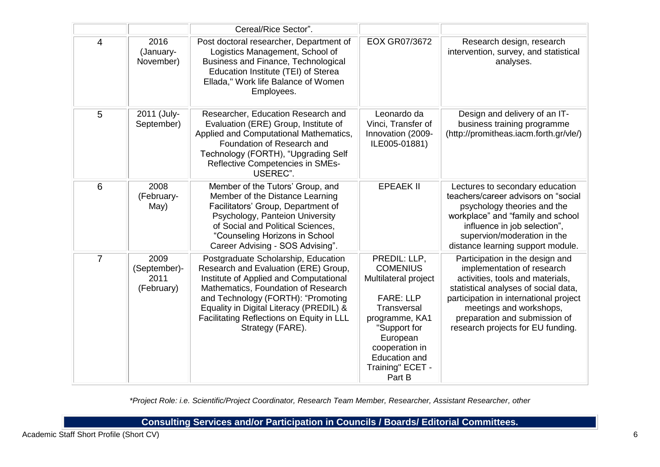|                |                                            | Cereal/Rice Sector".                                                                                                                                                                                                                                                                                           |                                                                                                                                                                                                                  |                                                                                                                                                                                                                                                                                      |
|----------------|--------------------------------------------|----------------------------------------------------------------------------------------------------------------------------------------------------------------------------------------------------------------------------------------------------------------------------------------------------------------|------------------------------------------------------------------------------------------------------------------------------------------------------------------------------------------------------------------|--------------------------------------------------------------------------------------------------------------------------------------------------------------------------------------------------------------------------------------------------------------------------------------|
| $\overline{4}$ | 2016<br>(January-<br>November)             | Post doctoral researcher, Department of<br>Logistics Management, School of<br>Business and Finance, Technological<br>Education Institute (TEI) of Sterea<br>Ellada," Work life Balance of Women<br>Employees.                                                                                                  | EOX GR07/3672                                                                                                                                                                                                    | Research design, research<br>intervention, survey, and statistical<br>analyses.                                                                                                                                                                                                      |
| 5              | 2011 (July-<br>September)                  | Researcher, Education Research and<br>Evaluation (ERE) Group, Institute of<br>Applied and Computational Mathematics,<br>Foundation of Research and<br>Technology (FORTH), "Upgrading Self<br>Reflective Competencies in SMEs-<br>USEREC".                                                                      | Leonardo da<br>Vinci, Transfer of<br>Innovation (2009-<br>ILE005-01881)                                                                                                                                          | Design and delivery of an IT-<br>business training programme<br>(http://promitheas.iacm.forth.gr/vle/)                                                                                                                                                                               |
| $6\phantom{1}$ | 2008<br>(February-<br>May)                 | Member of the Tutors' Group, and<br>Member of the Distance Learning<br>Facilitators' Group, Department of<br>Psychology, Panteion University<br>of Social and Political Sciences,<br>"Counseling Horizons in School<br>Career Advising - SOS Advising".                                                        | <b>EPEAEK II</b>                                                                                                                                                                                                 | Lectures to secondary education<br>teachers/career advisors on "social<br>psychology theories and the<br>workplace" and "family and school<br>influence in job selection",<br>supervion/moderation in the<br>distance learning support module.                                       |
| $\overline{7}$ | 2009<br>(September)-<br>2011<br>(February) | Postgraduate Scholarship, Education<br>Research and Evaluation (ERE) Group,<br>Institute of Applied and Computational<br>Mathematics, Foundation of Research<br>and Technology (FORTH): "Promoting<br>Equality in Digital Literacy (PREDIL) &<br>Facilitating Reflections on Equity in LLL<br>Strategy (FARE). | PREDIL: LLP,<br><b>COMENIUS</b><br>Multilateral project<br><b>FARE: LLP</b><br>Transversal<br>programme, KA1<br>"Support for<br>European<br>cooperation in<br><b>Education and</b><br>Training" ECET -<br>Part B | Participation in the design and<br>implementation of research<br>activities, tools and materials,<br>statistical analyses of social data,<br>participation in international project<br>meetings and workshops,<br>preparation and submission of<br>research projects for EU funding. |

*\*Project Role: i.e. Scientific/Project Coordinator, Research Team Member, Researcher, Assistant Researcher, other*

**Consulting Services and/or Participation in Councils / Boards/ Editorial Committees.**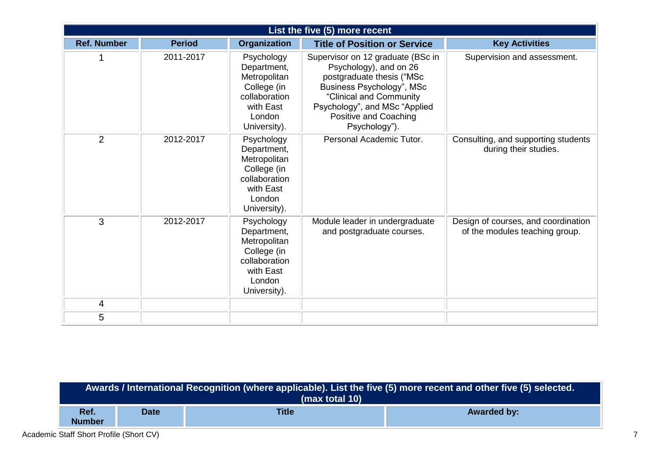|                    |               |                                                                                                                  | List the five (5) more recent                                                                                                                                                                                               |                                                                       |
|--------------------|---------------|------------------------------------------------------------------------------------------------------------------|-----------------------------------------------------------------------------------------------------------------------------------------------------------------------------------------------------------------------------|-----------------------------------------------------------------------|
| <b>Ref. Number</b> | <b>Period</b> | <b>Organization</b>                                                                                              | <b>Title of Position or Service</b>                                                                                                                                                                                         | <b>Key Activities</b>                                                 |
|                    | 2011-2017     | Psychology<br>Department,<br>Metropolitan<br>College (in<br>collaboration<br>with East<br>London<br>University). | Supervisor on 12 graduate (BSc in<br>Psychology), and on 26<br>postgraduate thesis ("MSc<br>Business Psychology", MSc<br>"Clinical and Community<br>Psychology", and MSc "Applied<br>Positive and Coaching<br>Psychology"). | Supervision and assessment.                                           |
| $\overline{2}$     | 2012-2017     | Psychology<br>Department,<br>Metropolitan<br>College (in<br>collaboration<br>with East<br>London<br>University). | Personal Academic Tutor.                                                                                                                                                                                                    | Consulting, and supporting students<br>during their studies.          |
| 3                  | 2012-2017     | Psychology<br>Department,<br>Metropolitan<br>College (in<br>collaboration<br>with East<br>London<br>University). | Module leader in undergraduate<br>and postgraduate courses.                                                                                                                                                                 | Design of courses, and coordination<br>of the modules teaching group. |
| 4                  |               |                                                                                                                  |                                                                                                                                                                                                                             |                                                                       |
| 5                  |               |                                                                                                                  |                                                                                                                                                                                                                             |                                                                       |

| Awards / International Recognition (where applicable). List the five (5) more recent and other five (5) selected. <sup>1</sup><br>(max total 10) |             |              |                    |  |
|--------------------------------------------------------------------------------------------------------------------------------------------------|-------------|--------------|--------------------|--|
| Ref.<br><b>Number</b>                                                                                                                            | <b>Date</b> | <b>Title</b> | <b>Awarded by:</b> |  |